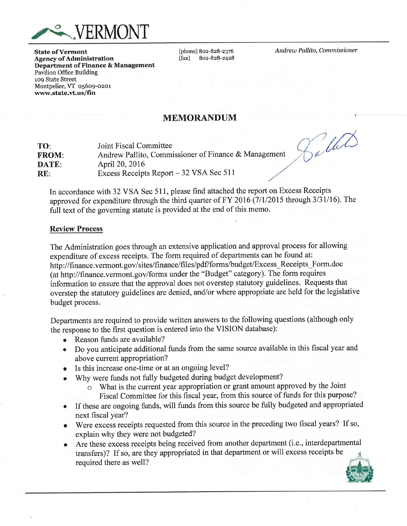

**State of Vermont Agency of Administration Department of Finance & Management Pavilion Office Building** 109 State Street Montpelier, VT 05609-0201 www.state.vt.us/fin

[phone] 802-828-2376  $[$ fax $]$ 802-828-2428 Andrew Pallito, Commissioner

# **MEMORANDUM**

TO: Joint Fiscal Committee Andrew Pallito, Commissioner of Finance & Management **FROM:** DATE: April 20, 2016 Excess Receipts Report – 32 VSA Sec 511  $RE:$ 

Saller

In accordance with 32 VSA Sec 511, please find attached the report on Excess Receipts approved for expenditure through the third quarter of FY 2016 (7/1/2015 through 3/31/16). The full text of the governing statute is provided at the end of this memo.

#### **Review Process**

The Administration goes through an extensive application and approval process for allowing expenditure of excess receipts. The form required of departments can be found at: http://finance.vermont.gov/sites/finance/files/pdf/forms/budget/Excess Receipts Form.doc (at http://finance.vermont.gov/forms under the "Budget" category). The form requires information to ensure that the approval does not overstep statutory guidelines. Requests that overstep the statutory guidelines are denied, and/or where appropriate are held for the legislative budget process.

Departments are required to provide written answers to the following questions (although only the response to the first question is entered into the VISION database):

- $\bullet$ Reason funds are available?
- Do you anticipate additional funds from the same source available in this fiscal year and  $\bullet$ above current appropriation?
- Is this increase one-time or at an ongoing level?  $\bullet$
- Why were funds not fully budgeted during budget development?
	- o What is the current year appropriation or grant amount approved by the Joint Fiscal Committee for this fiscal year, from this source of funds for this purpose?
- If these are ongoing funds, will funds from this source be fully budgeted and appropriated  $\bullet$ next fiscal year?
- Were excess receipts requested from this source in the preceding two fiscal years? If so,  $\bullet$ explain why they were not budgeted?
- Are these excess receipts being received from another department (i.e., interdepartmental transfers)? If so, are they appropriated in that department or will excess receipts be required there as well?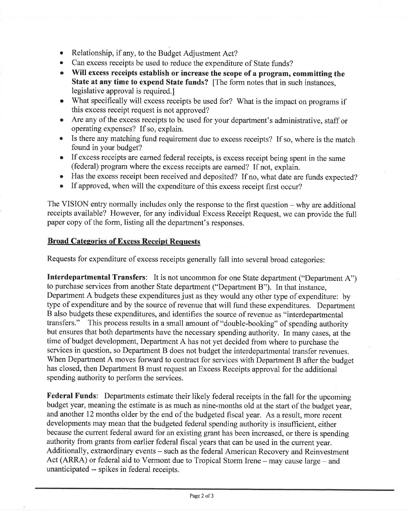- Relationship, if any, to the Budget Adjustment Act?
- Can excess receipts be used to reduce the expenditure of State funds?
- Will excess receipts establish or increase the scope of a program, committing the State at any time to expend State funds? [The form notes that in such instances, legislative approval is required.]
- What specifically will excess receipts be used for? What is the impact on programs if this excess receipt request is not approved?
- Are any of the excess receipts to be used for your department's administrative, staff or operating expenses? If so, explain.
- Is there any matching fund requirement due to excess receipts? If so, where is the match found in your budget?
- If excess receipts are earned federal receipts, is excess receipt being spent in the same (federal) program where the excess receipts are earned? If not, explain.
- Has the excess receipt been received and deposited? If no, what date are funds expected?
- If approved, when will the expenditure of this excess receipt first occur?

The VISION entry normally includes only the response to the first question  $-\omega$  why are additional receipts available? However, for any individual Excess Receipt Request, we can provide the full paper copy of the form, listing all the department's responses.

### **Broad Categories of Excess Receipt Requests**

Requests for expenditure of excess receipts generally fall into several broad categories:

**Interdepartmental Transfers:** It is not uncommon for one State department ("Department A") to purchase services from another State department ("Department B"). In that instance, Department A budgets these expenditures just as they would any other type of expenditure: by type of expenditure and by the source of revenue that will fund these expenditures. Department B also budgets these expenditures, and identifies the source of revenue as "interdepartmental transfers." This process results in a small amount of "double-booking" of spending authority but ensures that both departments have the necessary spending authority. In many cases, at the time of budget development, Department A has not yet decided from where to purchase the services in question, so Department B does not budget the interdepartmental transfer revenues. When Department A moves forward to contract for services with Department B after the budget has closed, then Department B must request an Excess Receipts approval for the additional spending authority to perform the services.

Federal Funds: Departments estimate their likely federal receipts in the fall for the upcoming budget year, meaning the estimate is as much as nine-months old at the start of the budget year, and another 12 months older by the end of the budgeted fiscal year. As a result, more recent developments may mean that the budgeted federal spending authority is insufficient, either because the current federal award for an existing grant has been increased, or there is spending authority from grants from earlier federal fiscal years that can be used in the current year. Additionally, extraordinary events - such as the federal American Recovery and Reinvestment Act (ARRA) or federal aid to Vermont due to Tropical Storm Irene - may cause large - and unanticipated -- spikes in federal receipts.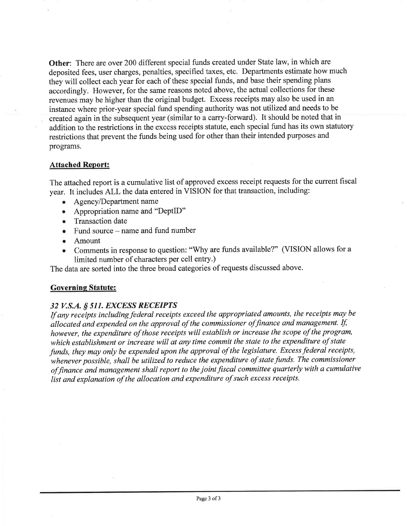**Other:** There are over 200 different special funds created under State law, in which are deposited fees, user charges, penalties, specified taxes, etc. Departments estimate how much they will collect each year for each of these special funds, and base their spending plans accordingly. However, for the same reasons noted above, the actual collections for these revenues may be higher than the original budget. Excess receipts may also be used in an instance where prior-year special fund spending authority was not utilized and needs to be created again in the subsequent year (similar to a carry-forward). It should be noted that in addition to the restrictions in the excess receipts statute, each special fund has its own statutory restrictions that prevent the funds being used for other than their intended purposes and programs.

### **Attached Report:**

The attached report is a cumulative list of approved excess receipt requests for the current fiscal year. It includes ALL the data entered in VISION for that transaction, including:

- Agency/Department name
- Appropriation name and "DeptID"
- Transaction date
- $\bullet$  Fund source name and fund number
- Amount
- Comments in response to question: "Why are funds available?" (VISION allows for a  $\bullet$ limited number of characters per cell entry.)

The data are sorted into the three broad categories of requests discussed above.

# **Governing Statute:**

# 32 V.S.A. § 511. EXCESS RECEIPTS

If any receipts including federal receipts exceed the appropriated amounts, the receipts may be allocated and expended on the approval of the commissioner of finance and management. If, however, the expenditure of those receipts will establish or increase the scope of the program, which establishment or increase will at any time commit the state to the expenditure of state funds, they may only be expended upon the approval of the legislature. Excess federal receipts, whenever possible, shall be utilized to reduce the expenditure of state funds. The commissioner of finance and management shall report to the joint fiscal committee quarterly with a cumulative list and explanation of the allocation and expenditure of such excess receipts.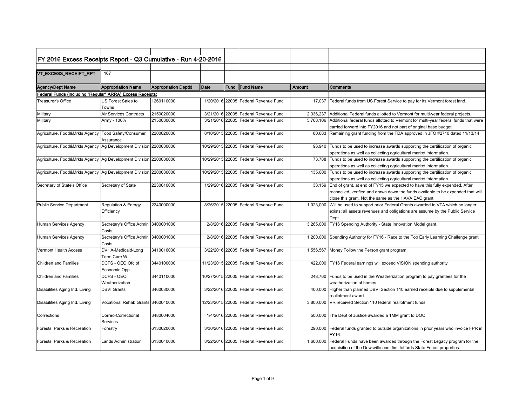| FY 2016 Excess Receipts Report - Q3 Cumulative - Run 4-20-2016      |                                     |                             |      |      |                                       |           |                                                                                     |
|---------------------------------------------------------------------|-------------------------------------|-----------------------------|------|------|---------------------------------------|-----------|-------------------------------------------------------------------------------------|
|                                                                     |                                     |                             |      |      |                                       |           |                                                                                     |
| VT_EXCESS_RECEIPT_RPT                                               | 167                                 |                             |      |      |                                       |           |                                                                                     |
|                                                                     |                                     |                             |      |      |                                       |           |                                                                                     |
| <b>Agency/Dept Name</b>                                             | <b>Appropriation Name</b>           | <b>Appropriation Deptid</b> | Date | Fund | <b>IFund Name</b>                     | Amount    | IComments                                                                           |
| Federal Funds (including "Regular" ARRA) Excess Receipts:           |                                     |                             |      |      |                                       |           |                                                                                     |
| Treasurer's Office                                                  | US Forest Sales to                  | 1260110000                  |      |      | 1/20/2016 22005 Federal Revenue Fund  | 17.037    | Federal funds from US Forest Service to pay for its Vermont forest land.            |
|                                                                     | Towns                               |                             |      |      |                                       |           |                                                                                     |
| Military                                                            | Air Services Contracts              | 2150020000                  |      |      | 3/21/2016 22005 Federal Revenue Fund  | 2,336,237 | Additional Federal funds allotted to Vermont for multi-year federal projects.       |
| Military                                                            | Army - 100%                         | 2150030000                  |      |      | 3/21/2016 22005 Federal Revenue Fund  | 5,768,106 | Additional federal funds allotted to Vermont for multi-year federal funds that were |
|                                                                     |                                     |                             |      |      |                                       |           | carried forward into FY2016 and not part of original base budget.                   |
| Agriculture, Food&Mrkts Agency   Food Safety/Consumer               |                                     | 2200020000                  |      |      | 8/10/2015 22005 Federal Revenue Fund  | 80,683    | Remaining grant funding from the FDA approved in JFO #2710 dated 11/13/14           |
|                                                                     | Assurance                           |                             |      |      |                                       |           |                                                                                     |
| Agriculture, Food&Mrkts Agency   Ag Development Division 2200030000 |                                     |                             |      |      | 10/29/2015 22005 Federal Revenue Fund | 96,940    | Funds to be used to increase awards supporting the certification of organic         |
|                                                                     |                                     |                             |      |      |                                       |           | operations as well as collecting agricultural market information.                   |
| Agriculture, Food&Mrkts Agency   Ag Development Division 2200030000 |                                     |                             |      |      | 10/29/2015 22005 Federal Revenue Fund |           | 73,788 Funds to be used to increase awards supporting the certification of organic  |
|                                                                     |                                     |                             |      |      |                                       |           | operations as well as collecting agricultural market information.                   |
| Agriculture, Food&Mrkts Agency   Ag Development Division 2200030000 |                                     |                             |      |      | 10/29/2015 22005 Federal Revenue Fund | 135,000   | Funds to be used to increase awards supporting the certification of organic         |
|                                                                     |                                     |                             |      |      |                                       |           | operations as well as collecting agricultural market information.                   |
| Secretary of State's Office                                         | Secretary of State                  | 2230010000                  |      |      | 1/29/2016 22005 Federal Revenue Fund  | 38,159    | End of grant, at end of FY15 we expected to have this fully expended. After         |
|                                                                     |                                     |                             |      |      |                                       |           | reconciled, verified and drawn down the funds available to be expended that will    |
|                                                                     |                                     |                             |      |      |                                       |           | close this grant. Not the same as the HAVA EAC grant.                               |
| <b>Public Service Department</b>                                    | Regulation & Energy                 | 2240000000                  |      |      | 8/26/2015 22005 Federal Revenue Fund  | 1,023,000 | Will be used to support prior Federal Grants awarded to VTA which no longer         |
|                                                                     | Efficiency                          |                             |      |      |                                       |           | exists; all assets revenues and obligations are assume by the Public Service        |
|                                                                     |                                     |                             |      |      |                                       |           | Dept                                                                                |
| Human Services Agency                                               | Secretary's Office Admin 3400001000 |                             |      |      | 2/8/2016 22005 Federal Revenue Fund   | 3,265,000 | FY16 Spending Authority - State Innovation Model grant.                             |
|                                                                     | Costs                               |                             |      |      |                                       |           |                                                                                     |
| Human Services Agency                                               | Secretary's Office Admin            | 3400001000                  |      |      | 2/8/2016 22005 Federal Revenue Fund   | 1,200,000 | Spending Authority for FY16 - Race to the Top Early Learning Challenge grant        |
|                                                                     | Costs                               |                             |      |      |                                       |           |                                                                                     |
| <b>Vermont Health Access</b>                                        | DVHA-Medicaid-Long                  | 3410016000                  |      |      | 3/22/2016 22005 Federal Revenue Fund  | 1,556,567 | Money Follow the Person grant program                                               |
|                                                                     | Term Care W                         |                             |      |      |                                       |           |                                                                                     |
| <b>Children and Families</b>                                        | DCFS - OEO Ofc of                   | 3440100000                  |      |      | 11/23/2015 22005 Federal Revenue Fund |           | 422,000 FY16 Federal earnings will exceed VISION spending authority                 |
|                                                                     | Economic Opp                        |                             |      |      |                                       |           |                                                                                     |
| <b>Children and Families</b>                                        | DCFS - OEO                          | 3440110000                  |      |      | 10/27/2015 22005 Federal Revenue Fund | 248.760   | Funds to be used in the Weatherization program to pay grantees for the              |
|                                                                     | Weatherization                      |                             |      |      |                                       |           | weatherization of homes.                                                            |
| Disabilities Aging Ind. Living                                      | <b>DBVI Grants</b>                  | 3460030000                  |      |      | 3/22/2016 22005 Federal Revenue Fund  | 400,000   | Higher than planned DBVI Section 110 earned receipts due to supplemental            |
|                                                                     |                                     |                             |      |      |                                       |           | reallotment award.                                                                  |
| Disabilities Aging Ind. Living                                      | Vocational Rehab Grants 3460040000  |                             |      |      | 12/23/2015 22005 Federal Revenue Fund | 3,800,000 | VR received Section 110 federal reallotment funds                                   |
|                                                                     |                                     |                             |      |      |                                       |           |                                                                                     |
| Corrections                                                         | Correc-Correctional                 | 3480004000                  |      |      | 1/4/2016 22005 Federal Revenue Fund   |           | 500,000 The Dept of Justice awarded a 1MM grant to DOC                              |
|                                                                     | Services                            |                             |      |      |                                       |           |                                                                                     |
| Forests, Parks & Recreation                                         | Forestry                            | 6130020000                  |      |      | 3/30/2016 22005 Federal Revenue Fund  | 290,000   | Federal funds granted to outside organizations in prior years who invoice FPR in    |
|                                                                     |                                     |                             |      |      |                                       |           | <b>FY16</b>                                                                         |
| Forests, Parks & Recreation                                         | Lands Administration                | 6130040000                  |      |      | 3/22/2016 22005 Federal Revenue Fund  | 1,600,000 | Federal Funds have been awarded through the Forest Legacy program for the           |
|                                                                     |                                     |                             |      |      |                                       |           | acquisition of the Dowsville and Jim Jeffords State Forest properties.              |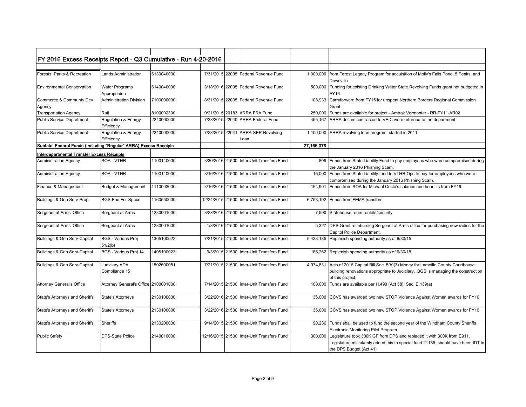| FY 2016 Excess Receipts Report - Q3 Cumulative - Run 4-20-2016    |                                              |            |                 |                                            |            |                                                                                                                                                                                       |
|-------------------------------------------------------------------|----------------------------------------------|------------|-----------------|--------------------------------------------|------------|---------------------------------------------------------------------------------------------------------------------------------------------------------------------------------------|
|                                                                   |                                              |            |                 |                                            |            |                                                                                                                                                                                       |
| Forests, Parks & Recreation                                       | <b>Lands Administration</b>                  | 6130040000 |                 | 7/31/2015 22005 Federal Revenue Fund       | 1.900.000  | from Forest Legacy Program for acquisition of Molly's Falls Pond, 5 Peaks, and<br>Dowsville                                                                                           |
| <b>Environmental Conservation</b>                                 | <b>Water Programs</b><br>Appropriaion        | 6140040000 |                 | 3/18/2016 22005 Federal Revenue Fund       | 500,000    | Funding for existing Drinking Water State Revolving Funds grant not budgeted in<br>FY16                                                                                               |
| Commerce & Communty Dev<br>Agency                                 | Administration Division                      | 7100000000 |                 | 8/31/2015 22005 Federal Revenue Fund       | 108,933    | Carryforward from FY15 for unspent Northern Borders Regional Commission<br>Grant                                                                                                      |
| <b>Transportation Agency</b>                                      | Rail                                         | 8100002300 |                 | 9/21/2015 20183 ARRA FRA Fund              | 250,000    | Funds are available for project - Amtrak Vermonter - RR-FY11-AR02                                                                                                                     |
| <b>Public Service Department</b>                                  | <b>Regulation &amp; Energy</b><br>Efficiency | 2240000000 |                 | 7/28/2015 22040 ARRA Federal Fund          | 455,167    | ARRA dollars contracted to VEIC were returned to the department.                                                                                                                      |
| <b>Public Service Department</b>                                  | <b>Regulation &amp; Energy</b><br>Efficiency | 2240000000 | 7/28/2015 22041 | ARRA-SEP-Revolving<br>Loan                 |            | 1,100,000 ARRA revolving loan program, started in 2011                                                                                                                                |
| Subtotal Federal Funds (Including "Regular" ARRA) Excess Receipts |                                              |            |                 |                                            | 27,165,378 |                                                                                                                                                                                       |
| <b>Interdepartmental Transfer Excess Receipts</b>                 |                                              |            |                 |                                            |            |                                                                                                                                                                                       |
| <b>Administration Agency</b>                                      | SOA - VTHR                                   | 1100140000 |                 | 3/30/2016 21500 Inter-Unit Transfers Fund  | 809        | Funds from State Liability Fund to pay employees who were compromised during<br>the January 2016 Phishing Scam.                                                                       |
| <b>Administration Agency</b>                                      | SOA - VTHR                                   | 1100140000 |                 | 3/16/2016 21500 Inter-Unit Transfers Fund  |            | 15,000 Funds from State Liability fund to VTHR Ops to pay for employees who were<br>compromised during the January 2016 Phishing Scam.                                                |
| Finance & Management                                              | Budget & Management                          | 1110003000 |                 | 3/16/2016 21500 Inter-Unit Transfers Fund  |            | 154,901 Funds from SOA for Michael Costa's salaries and benefits from FY16.                                                                                                           |
| Buildings & Gen Serv-Prop                                         | <b>BGS-Fee For Space</b>                     | 1160550000 |                 | 12/24/2015 21500 Inter-Unit Transfers Fund |            | 6,753,102 Funds from FEMA transfers                                                                                                                                                   |
| Sergeant at Arms' Office                                          | Sergeant at Arms                             | 1230001000 |                 | 3/28/2016 21500 Inter-Unit Transfers Fund  | 7,500      | Statehouse room rentals/security                                                                                                                                                      |
| Sergeant at Arms' Office                                          | Sergeant at Arms                             | 1230001000 |                 | 1/8/2016 21500 Inter-Unit Transfers Fund   | 5,327      | DPS Grant reimbursing Sergeant at Arms office for purchasing new radios for the<br>Capitol Police Department.                                                                         |
| Buildings & Gen Serv-Capital                                      | <b>BGS - Various Proj</b><br>51/2(b)         | 1305100022 |                 | 7/21/2015 21500 Inter-Unit Transfers Fund  | 5,433,185  | Replenish spending authority as of 6/30/15                                                                                                                                            |
| Buildings & Gen Serv-Capital                                      | BGS - Various Proj 14                        | 1405100023 |                 | 9/3/2015 21500 Inter-Unit Transfers Fund   |            | 186,262 Replenish spending authority as of 6/30/15                                                                                                                                    |
| Buildings & Gen Serv-Capital                                      | Judiciary ADA<br>Compliance 15               | 1502600051 |                 | 7/21/2015 21500 Inter-Unit Transfers Fund  | 4,974,831  | Acts of 2015 Capital Bill Sec. 5(b)(3) Money for Lamoille County Courthouse<br>building renovations appropriate to Judiciary. BGS is managing the construction<br>of this project.    |
| <b>Attorney General's Office</b>                                  | Attorney General's Office 2100001000         |            |                 | 7/14/2015 21500 Inter-Unit Transfers Fund  |            | 100,000 Funds are available per H.490 (Act 58), Sec. E.139(a)                                                                                                                         |
| State's Attorneys and Sheriffs                                    | <b>State's Attorneys</b>                     | 2130100000 |                 | 3/22/2016 21500 Inter-Unit Transfers Fund  | 36,000     | CCVS has awarded two new STOP Violence Against Women awards for FY16                                                                                                                  |
| <b>State's Attorneys and Sheriffs</b>                             | <b>State's Attorneys</b>                     | 2130100000 |                 | 3/22/2016 21500 Inter-Unit Transfers Fund  | 36,000     | CCVS has awarded two new STOP Violence Against Women awards for FY16                                                                                                                  |
| <b>State's Attorneys and Sheriffs</b>                             | Sheriffs                                     | 2130200000 |                 | 9/14/2015 21500 Inter-Unit Transfers Fund  | 90,236     | Funds shall be used to fund the second year of the Windham County Sheriffs<br>Electronic Monitoring Pilot Program                                                                     |
| <b>Public Safety</b>                                              | <b>DPS-State Police</b>                      | 2140010000 |                 | 12/16/2015 21500 Inter-Unit Transfers Fund | 300,000    | Legislature took 300K GF from DPS and replaced it with 300K from E911.<br>Legislature mistakenly added this to special fund 21135, should have been IDT in<br>the DPS Budget (Act 41) |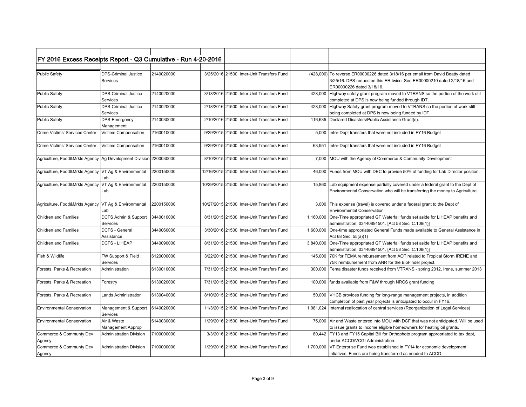| FY 2016 Excess Receipts Report - Q3 Cumulative - Run 4-20-2016      |                                               |            |                                            |           |                                                                                                                                                                                        |
|---------------------------------------------------------------------|-----------------------------------------------|------------|--------------------------------------------|-----------|----------------------------------------------------------------------------------------------------------------------------------------------------------------------------------------|
|                                                                     |                                               |            |                                            |           |                                                                                                                                                                                        |
| <b>Public Safety</b>                                                | <b>DPS-Criminal Justice</b><br>Services       | 2140020000 | 3/25/2016 21500 Inter-Unit Transfers Fund  |           | (428,000) To reverse ER00000226 dated 3/18/16 per email from David Beatty dated<br>3/25/16. DPS requested this ER twice. See ER00000210 dated 2/18/16 and<br>ER00000226 dated 3/18/16. |
| <b>Public Safety</b>                                                | <b>DPS-Criminal Justice</b><br>Services       | 2140020000 | 3/18/2016 21500 Inter-Unit Transfers Fund  |           | 428,000 Highway safety grant program moved to VTRANS so the portion of the work still<br>completed at DPS is now being funded through IDT.                                             |
| <b>Public Safety</b>                                                | <b>DPS-Criminal Justice</b><br>Services       | 2140020000 | 2/18/2016 21500 Inter-Unit Transfers Fund  | 428,000   | Highway Safety grant program moved to VTRANS so the portion of work still<br>being completed at DPS is now being funded by IDT.                                                        |
| <b>Public Safety</b>                                                | DPS-Emergency<br>Management                   | 2140030000 | 2/10/2016 21500 Inter-Unit Transfers Fund  |           | 116,635   Declared Disasters/Public Assistance Grant(s).                                                                                                                               |
| Crime Victims' Services Center                                      | Victims Compensation                          | 2160010000 | 9/29/2015 21500 Inter-Unit Transfers Fund  | 5,000     | Inter-Dept transfers that were not included in FY16 Budget                                                                                                                             |
| Crime Victims' Services Center                                      | Victims Compensation                          | 2160010000 | 9/29/2015 21500 Inter-Unit Transfers Fund  | 63,951    | Inter-Dept transfers that were not included in FY16 Budget                                                                                                                             |
| Agriculture, Food&Mrkts Agency   Ag Development Division 2200030000 |                                               |            | 8/10/2015 21500 Inter-Unit Transfers Fund  |           | 7,000 MOU with the Agency of Commerce & Community Development                                                                                                                          |
| Agriculture, Food&Mrkts Agency   VT Ag & Environmental              | Lab                                           | 2200150000 | 12/16/2015 21500 Inter-Unit Transfers Fund | 46,000    | Funds from MOU with DEC to provide 50% of funding for Lab Director position.                                                                                                           |
| Agriculture, Food&Mrkts Agency   VT Ag & Environmental              | Lab                                           | 2200150000 | 10/29/2015 21500 Inter-Unit Transfers Fund |           | 15,860 Lab equipment expense partially covered under a federal grant to the Dept of<br>Environmental Conservation who will be transferring the money to Agriculture.                   |
| Agriculture, Food&Mrkts Agency   VT Ag & Environmental              | Lab                                           | 2200150000 | 10/27/2015 21500 Inter-Unit Transfers Fund | 3,000     | This expense (travel) is covered under a federal grant to the Dept of<br><b>Environmental Conservation</b>                                                                             |
| <b>Children and Families</b>                                        | DCFS Admin & Support 3440010000<br>Services   |            | 8/31/2015 21500 Inter-Unit Transfers Fund  |           | 1,160,000 One-Time appropriated GF Waterfall funds set aside for LIHEAP benefits and<br>administration; 03440891501. [Act 58 Sec. C.108(1)]                                            |
| <b>Children and Families</b>                                        | DCFS - General<br>Assistance                  | 3440060000 | 3/30/2016 21500 Inter-Unit Transfers Fund  | 1.600.000 | One-time appropriated General Funds made available to General Assistance in<br>Act 68 Sec. 55(a)(1)                                                                                    |
| <b>Children and Families</b>                                        | <b>DCFS - LIHEAP</b>                          | 3440090000 | 8/31/2015 21500 Inter-Unit Transfers Fund  |           | 3,840,000 One-Time appropriated GF Waterfall funds set aside for LIHEAP benefits and<br>administration; 03440891501. [Act 58 Sec. C.108(1)]                                            |
| Fish & Wildlife                                                     | FW Support & Field<br>Services                | 6120000000 | 3/22/2016 21500 Inter-Unit Transfers Fund  | 145.000   | 70K for FEMA reimbursement from AOT related to Tropical Storm IRENE and<br>75K reimbursement from ANR for the BioFinder project.                                                       |
| Forests, Parks & Recreation                                         | Administration                                | 6130010000 | 7/31/2015 21500 Inter-Unit Transfers Fund  | 300,000   | Fema disaster funds received from VTRANS - spring 2012, Irene, summer 2013                                                                                                             |
| Forests, Parks & Recreation                                         | Forestry                                      | 6130020000 | 7/31/2015 21500 Inter-Unit Transfers Fund  |           | 100,000 funds available from F&W through NRCS grant funding                                                                                                                            |
| Forests, Parks & Recreation                                         | Lands Administration                          | 6130040000 | 8/10/2015 21500 Inter-Unit Transfers Fund  | 50,000    | VHCB provides funding for long-range management projects, in addition<br>completion of past year projects is anticipated to occur in FY16.                                             |
| <b>Environmental Conservation</b>                                   | Management & Support   6140020000<br>Services |            | 11/3/2015 21500 Inter-Unit Transfers Fund  |           | 1,081,024   Internal reallocation of central services (Reorganization of Legal Services)                                                                                               |
| <b>Environmental Conservation</b>                                   | Air & Waste<br>Management Approp              | 6140030000 | 1/29/2016 21500 Inter-Unit Transfers Fund  |           | 75,000 Air and Waste entered into MOU with DCF that was not anticipated. Will be used<br>to issue grants to income eligible homeowners for heating oil grants.                         |
| Commerce & Communty Dev<br>Agency                                   | <b>Administration Division</b>                | 7100000000 | 3/3/2016 21500 Inter-Unit Transfers Fund   |           | 80,442 FY13 and FY15 Capital Bill for Orthophoto program appropriated to tax dept,<br>under ACCD/VCGI Administration.                                                                  |
| Commerce & Communty Dev<br>Agency                                   | <b>Administration Division</b>                | 7100000000 | 1/29/2016 21500 Inter-Unit Transfers Fund  | 1,700,000 | VT Enterprise Fund was established in FY14 for economic development<br>intiatives. Funds are being transferred as needed to ACCD.                                                      |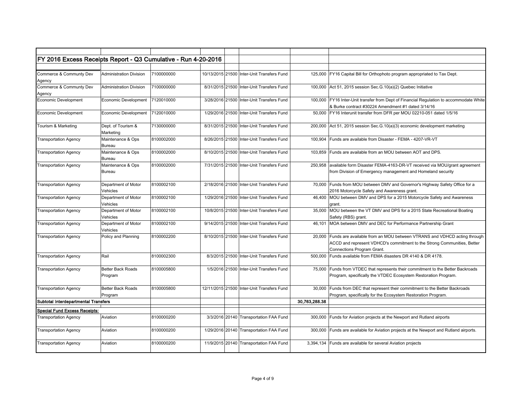| FY 2016 Excess Receipts Report - Q3 Cumulative - Run 4-20-2016 |                                     |            |  |                                            |               |                                                                                                                                                                                  |
|----------------------------------------------------------------|-------------------------------------|------------|--|--------------------------------------------|---------------|----------------------------------------------------------------------------------------------------------------------------------------------------------------------------------|
|                                                                |                                     |            |  |                                            |               |                                                                                                                                                                                  |
| Commerce & Communty Dev<br>Agency                              | <b>Administration Division</b>      | 7100000000 |  | 10/13/2015 21500 Inter-Unit Transfers Fund | 125.000       | FY16 Capital Bill for Orthophoto program appropriated to Tax Dept.                                                                                                               |
| Commerce & Communty Dev<br>Agency                              | <b>Administration Division</b>      | 7100000000 |  | 8/31/2015 21500 Inter-Unit Transfers Fund  |               | 100,000 Act 51, 2015 session Sec. G. 10(a)(2) Quebec Initiative                                                                                                                  |
| Economic Development                                           | Economic Development                | 7120010000 |  | 3/28/2016 21500 Inter-Unit Transfers Fund  | 100,000       | FY16 Inter-Unit transfer from Dept of Financial Regulation to accommodate White<br>& Burke contract #30224 Amendment #1 dated 3/14/16                                            |
| <b>Economic Development</b>                                    | Economic Development                | 7120010000 |  | 1/29/2016 21500 Inter-Unit Transfers Fund  | 50.000        | FY16 Interunit transfer from DFR per MOU 02210-051 dated 1/5/16                                                                                                                  |
| Tourism & Marketing                                            | Dept. of Tourism &<br>Marketing     | 7130000000 |  | 8/31/2015 21500 Inter-Unit Transfers Fund  | 200.000       | Act 51, 2015 session Sec. G. 10(a)(3) economic development marketing                                                                                                             |
| <b>Transportation Agency</b>                                   | Maintenance & Ops<br>Bureau         | 8100002000 |  | 8/26/2015 21500 Inter-Unit Transfers Fund  | 100,904       | Funds are available from Disaster - FEMA - 4207-VR-VT                                                                                                                            |
| <b>Transportation Agency</b>                                   | Maintenance & Ops<br>Bureau         | 8100002000 |  | 8/10/2015 21500 Inter-Unit Transfers Fund  | 103.859       | Funds are available from an MOU between AOT and DPS.                                                                                                                             |
| <b>Transportation Agency</b>                                   | Maintenance & Ops<br>Bureau         | 8100002000 |  | 7/31/2015 21500 Inter-Unit Transfers Fund  | 250.958       | available form Disaster FEMA-4163-DR-VT received via MOU/grant agreement<br>from Division of Emergency management and Homeland security                                          |
| <b>Transportation Agency</b>                                   | Department of Motor<br>Vehicles     | 8100002100 |  | 2/18/2016 21500 Inter-Unit Transfers Fund  | 70.000        | Funds from MOU between DMV and Governor's Highway Safety Office for a<br>2016 Motorcycle Safety and Awareness grant.                                                             |
| <b>Transportation Agency</b>                                   | Department of Motor<br>Vehicles     | 8100002100 |  | 1/29/2016 21500 Inter-Unit Transfers Fund  | 46.400        | MOU between DMV and DPS for a 2015 Motorcycle Safety and Awareness<br>grant.                                                                                                     |
| <b>Transportation Agency</b>                                   | Department of Motor<br>Vehicles     | 8100002100 |  | 10/8/2015 21500 Inter-Unit Transfers Fund  | 35,000        | MOU between the VT DMV and DPS for a 2015 State Recreational Boating<br>Safety (RBS) grant.                                                                                      |
| <b>Transportation Agency</b>                                   | Department of Motor<br>Vehicles     | 8100002100 |  | 9/14/2015 21500 Inter-Unit Transfers Fund  | 46.101        | MOA between DMV and DEC for Performance Partnership Grant                                                                                                                        |
| <b>Transportation Agency</b>                                   | Policy and Planning                 | 8100002200 |  | 8/10/2015 21500 Inter-Unit Transfers Fund  | 20.000        | Funds are available from an MOU between VTRANS and VDHCD acting through<br>ACCD and represent VDHCD's commitment to the Strong Communities, Better<br>Connections Program Grant. |
| <b>Transportation Agency</b>                                   | Rail                                | 8100002300 |  | 8/3/2015 21500 Inter-Unit Transfers Fund   | 500.000       | Funds available from FEMA disasters DR 4140 & DR 4178.                                                                                                                           |
| <b>Transportation Agency</b>                                   | <b>Better Back Roads</b><br>Program | 8100005800 |  | 1/5/2016 21500 Inter-Unit Transfers Fund   | 75,000        | Funds from VTDEC that represents their commitment to the Better Backroads<br>Program, specifically the VTDEC Ecosystem Restoration Program.                                      |
| <b>Transportation Agency</b>                                   | <b>Better Back Roads</b><br>Program | 8100005800 |  | 12/11/2015 21500 Inter-Unit Transfers Fund | 30,000        | Funds from DEC that represent their commitment to the Better Backroads<br>Program, specifically for the Ecosystem Restoration Program.                                           |
| Subtotal Interdepartmental Transfers                           |                                     |            |  |                                            | 30,763,288.38 |                                                                                                                                                                                  |
| <b>Special Fund Excess Receipts:</b>                           |                                     |            |  |                                            |               |                                                                                                                                                                                  |
| <b>Transportation Agency</b>                                   | Aviation                            | 8100000200 |  | 3/3/2016 20140 Transportation FAA Fund     | 300,000       | Funds for Aviation projects at the Newport and Rutland airports                                                                                                                  |
| <b>Transportation Agency</b>                                   | Aviation                            | 8100000200 |  | 1/29/2016 20140 Transportation FAA Fund    | 300,000       | Funds are available for Aviation projects at the Newport and Rutland airports.                                                                                                   |
| <b>Transportation Agency</b>                                   | Aviation                            | 8100000200 |  | 11/9/2015 20140 Transportation FAA Fund    | 3,394,134     | Funds are available for several Aviation projects                                                                                                                                |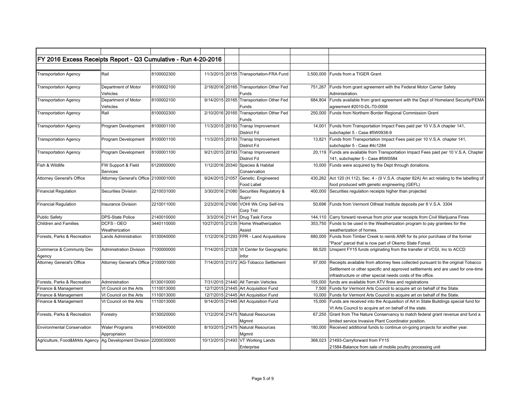| FY 2016 Excess Receipts Report - Q3 Cumulative - Run 4-20-2016      |                                       |            |                                                          |         |                                                                                                                                                                                                                                   |
|---------------------------------------------------------------------|---------------------------------------|------------|----------------------------------------------------------|---------|-----------------------------------------------------------------------------------------------------------------------------------------------------------------------------------------------------------------------------------|
|                                                                     |                                       |            |                                                          |         |                                                                                                                                                                                                                                   |
| <b>Transportation Agency</b>                                        | Rail                                  | 8100002300 | 11/3/2015 20155 Transportation-FRA Fund                  |         | 3.500.000 Funds from a TIGER Grant                                                                                                                                                                                                |
| <b>Transportation Agency</b>                                        | Department of Motor<br>Vehicles       | 8100002100 | 2/18/2016 20165 Transportation Other Fed<br>Funds        | 751,267 | Funds from grant agreement with the Federal Motor Carrier Safety<br>Administration.                                                                                                                                               |
| <b>Transportation Agency</b>                                        | Department of Motor<br>Vehicles       | 8100002100 | 9/14/2015 20165 Transportation Other Fed<br>Funds        | 684.804 | Funds available from grant agreement with the Dept of Homeland Security/FEMA<br>agreement #2010-DL-T0-0006                                                                                                                        |
| <b>Transportation Agency</b>                                        | Rail                                  | 8100002300 | 2/10/2016 20165 Transportation Other Fed<br>Funds        |         | 250,000 Funds from Northern Border Regional Commission Grant                                                                                                                                                                      |
| <b>Transportation Agency</b>                                        | Program Development                   | 8100001100 | 11/3/2015 20193 Transp Improvement<br><b>District Fd</b> | 14,001  | Funds from Transportation Impact Fees paid per 10 V.S.A chapter 141,<br>subchapter 5 - Case #5W0938-9                                                                                                                             |
| <b>Transportation Agency</b>                                        | Program Development                   | 8100001100 | 11/3/2015 20193 Transp Improvement<br><b>District Fd</b> |         | 13,821 Funds from Transportation Impact Fees paid per 10 V.S.A. chapter 141,<br>subchapter 5 - Case #4c1284                                                                                                                       |
| <b>Transportation Agency</b>                                        | Program Development                   | 8100001100 | 9/21/2015 20193 Transp Improvement<br><b>District Fd</b> |         | 20,119 Funds are available from Transportation Impact Fees paid per 10 V.S.A. Chapter<br>141, subchapter 5 - Case #5W0584                                                                                                         |
| Fish & Wildlife                                                     | FW Support & Field<br>Services        | 6120000000 | 1/12/2016 20340 Species & Habitat<br>Conservation        |         | 10,000 Funds were acquired by the Dept through donations.                                                                                                                                                                         |
| <b>Attorney General's Office</b>                                    | Attorney General's Office 2100001000  |            | 9/24/2015 21057 Genetic. Engineered<br>Food Label        |         | 430,262 Act 120 (H.112), Sec. 4 - (9 V.S.A. chapter 82A) An act relating to the labelling of<br>food produced with genetic engineering (GEFL)                                                                                     |
| <b>Financial Regulation</b>                                         | Securities Division                   | 2210031000 | 3/30/2016 21080 Securities Regulatory &<br>Suprv         | 400.000 | Securities regulation receipts higher than projected                                                                                                                                                                              |
| <b>Financial Regulation</b>                                         | <b>Insurance Division</b>             | 2210011000 | 2/23/2016 21090 VOHI Wk Cmp Self-Ins<br>Corp Trst        | 50,696  | Funds from Vermont Oilheat Institute deposits per 8 V.S.A. 3304                                                                                                                                                                   |
| <b>Public Safety</b>                                                | <b>DPS-State Police</b>               | 2140010000 | 3/3/2016 21141 Drug Task Force                           |         | 144,110 Carry forward revenue from prior year receipts from Civil Marijuana Fines                                                                                                                                                 |
| <b>Children and Families</b>                                        | DCFS - OEO<br>Weatherization          | 3440110000 | 10/27/2015 21235 Home Weatherization<br>Assist           |         | 353,750 Funds to be used in the Weatherization program to pay grantees for the<br>weatherization of homes.                                                                                                                        |
| Forests, Parks & Recreation                                         | Lands Administration                  | 6130040000 | 1/12/2016 21293 FPR - Land Acquisitions                  | 680.000 | Funds from Timber Creek to reimb ANR for its prior purchase of the former<br>"Pace" parcel that is now part of Okemo State Forest.                                                                                                |
| Commerce & Communty Dev<br>Agency                                   | Administration Division               | 7100000000 | 7/14/2015 21328 Vt Center for Geographic<br>Infor        |         | 66,520 Unspent FY15 funds originating from the transfer of VCGI, Inc to ACCD                                                                                                                                                      |
| <b>Attorney General's Office</b>                                    | Attorney General's Office 2100001000  |            | 7/14/2015 21372 AG-Tobacco Settlement                    | 97,000  | Receipts available from attorney fees collected pursuant to the original Tobacco<br>Settlement or other specific and approved settlements and are used for one-time<br>infrastructure or other special needs costs of the office. |
| Forests, Parks & Recreation                                         | Administration                        | 6130010000 | 7/31/2015 21440 All Terrain Vehicles                     |         | 155,000 funds are available from ATV fines and registrations                                                                                                                                                                      |
| Finance & Management                                                | Vt Council on the Arts                | 1110013000 | 12/7/2015 21445 Art Acquisition Fund                     |         | 7,500 Funds for Vermont Arts Council to acquire art on behalf of the State.                                                                                                                                                       |
| Finance & Management                                                | Vt Council on the Arts                | 1110013000 | 12/7/2015 21445 Art Acquisition Fund                     | 10,000  | Funds for Vermont Arts Council to acquire art on behalf of the State.                                                                                                                                                             |
| Finance & Management                                                | Vt Council on the Arts                | 1110013000 | 9/14/2015 21445 Art Acquisition Fund                     | 15,000  | Funds are received into the Acquisition of Art in State Buildings special fund for<br>Vt Arts Council to acquire art on behalf of the state.                                                                                      |
| Forests, Parks & Recreation                                         | Forestry                              | 6130020000 | 1/12/2016 21475 Natural Resources<br>Mgmnt               | 67.250  | Grant from The Nature Conservancy to match federal grant revenue and fund a<br>limited service Invasive Plant Coordinator position.                                                                                               |
| <b>Environmental Conservation</b>                                   | <b>Water Programs</b><br>Appropriaion | 6140040000 | 8/10/2015 21475 Natural Resources<br>Mgmnt               | 180,000 | Received additional funds to continue on-going projects for another year.                                                                                                                                                         |
| Agriculture, Food&Mrkts Agency   Ag Development Division 2200030000 |                                       |            | 10/13/2015 21493 VT Working Lands<br>Enterprise          | 368,023 | 21493-Carryforward from FY15<br>21584-Balance from sale of mobile poultry processing unit                                                                                                                                         |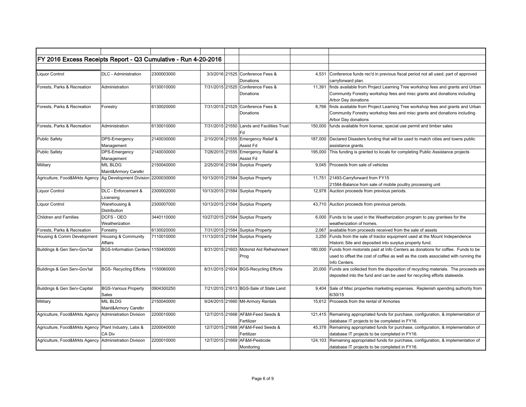| FY 2016 Excess Receipts Report - Q3 Cumulative - Run 4-20-2016    |                                         |            |  |                                                  |         |                                                                                                                                                                                       |
|-------------------------------------------------------------------|-----------------------------------------|------------|--|--------------------------------------------------|---------|---------------------------------------------------------------------------------------------------------------------------------------------------------------------------------------|
|                                                                   |                                         |            |  |                                                  |         |                                                                                                                                                                                       |
| Liquor Control                                                    | <b>DLC</b> - Administration             | 2300003000 |  | 3/3/2016 21525 Conference Fees &<br>Donations    | 4,531   | Conference funds rec'd in previous fiscal period not all used; part of approved<br>carryforward plan.                                                                                 |
| Forests, Parks & Recreation                                       | Administration                          | 6130010000 |  | 7/31/2015 21525 Conference Fees &<br>Donations   | 11,391  | finds available from Project Learning Tree workshop fees and grants and Urban<br>Community Forestry workshop fees and misc grants and donations including<br>Arbor Day donations      |
| Forests, Parks & Recreation                                       | Forestry                                | 6130020000 |  | 7/31/2015 21525 Conference Fees &<br>Donations   | 8,766   | finds available from Project Learning Tree workshop fees and grants and Urban<br>Community Forestry workshop fees and misc grants and donations including<br>Arbor Day donations      |
| Forests, Parks & Recreation                                       | Administration                          | 6130010000 |  | 7/31/2015 21550 Lands and Facilities Trust<br>Fd | 150,000 | funds available from license, special use permit and timber sales                                                                                                                     |
| <b>Public Safety</b>                                              | DPS-Emergency<br>Management             | 2140030000 |  | 2/10/2016 21555 Emergency Relief &<br>Assist Fd  | 187,000 | Declared Disasters funding that will be used to match cities and towns public<br>assistance grants.                                                                                   |
| <b>Public Safety</b>                                              | <b>DPS-Emergency</b><br>Management      | 2140030000 |  | 7/28/2015 21555 Emergency Relief &<br>Assist Fd  | 195,000 | This funding is granted to locals for completing Public Assistance projects                                                                                                           |
| Military                                                          | <b>MIL BLDG</b><br>Maint&Armory Caretkr | 2150040000 |  | 2/25/2016 21584 Surplus Property                 | 9.045   | Proceeds from sale of vehicles                                                                                                                                                        |
| Agriculture, Food&Mrkts Agency Ag Development Division 2200030000 |                                         |            |  | 10/13/2015 21584 Surplus Property                |         | 11,751 21493-Carryforward from FY15<br>21584-Balance from sale of mobile poultry processing unit                                                                                      |
| <b>Liquor Control</b>                                             | DLC - Enforcement &<br>Licensing        | 2300002000 |  | 10/13/2015 21584 Surplus Property                |         | 12,978 Auction proceeds from previous periods.                                                                                                                                        |
| <b>Liquor Control</b>                                             | Warehousing &<br>Distribution           | 2300007000 |  | 10/13/2015 21584 Surplus Property                | 43,710  | Auction proceeds from previous periods.                                                                                                                                               |
| <b>Children and Families</b>                                      | DCFS - OEO<br>Weatherization            | 3440110000 |  | 10/27/2015 21584 Surplus Property                | 6,000   | Funds to be used in the Weatherization program to pay grantees for the<br>weatherization of homes.                                                                                    |
| Forests, Parks & Recreation                                       | Forestry                                | 6130020000 |  | 7/31/2015 21584 Surplus Property                 | 2,067   | available from proceeds received from the sale of assets                                                                                                                              |
| Housing & Comm Developmen                                         | Housing & Community<br>Affairs          | 7110010000 |  | 11/13/2015 21584 Surplus Property                | 3.250   | Funds from the sale of tractor equipment used at the Mount Independence<br>Historic Site and deposited into surplus property fund.                                                    |
| Buildings & Gen Serv-Gov'tal                                      | BGS-Information Centers 1150400000      |            |  | 8/31/2015 21603 Motorist Aid Refreshment<br>Prog | 180.000 | Funds from motorists paid at Info Centers as donations for coffee. Funds to be<br>used to offset the cost of coffee as well as the costs associated with running the<br>Info Centers. |
| Buildings & Gen Serv-Gov'tal                                      | <b>BGS- Recycling Efforts</b>           | 1150060000 |  | 8/31/2015 21604 BGS-Recycling Efforts            | 20,000  | Funds are collected from the disposition of recycling materials. The proceeds are<br>deposited into the fund and can be used for recycling efforts statewide.                         |
| Buildings & Gen Serv-Capital                                      | <b>BGS-Various Property</b><br>Sales    | 0904300250 |  | 7/21/2015 21613 BGS-Sale of State Land           | 9.404   | Sale of Misc properties marketing expenses. Replenish spending authority from<br>6/30/15                                                                                              |
| Military                                                          | <b>MIL BLDG</b><br>Maint&Armory Caretkr | 2150040000 |  | 9/24/2015 21660 Mil-Armory Rentals               | 15.612  | Proceeds from the rental of Armories                                                                                                                                                  |
| Agriculture, Food&Mrkts Agency Administration Division            |                                         | 2200010000 |  | 12/7/2015 21668 AF&M-Feed Seeds &<br>Fertilizer  | 121,415 | Remaining appropriated funds for purchase, configuration, & implementation of<br>database IT projects to be completed in FY16.                                                        |
| Agriculture, Food&Mrkts Agency   Plant Industry, Labs &           | CA Div                                  | 2200040000 |  | 12/7/2015 21668 AF&M-Feed Seeds &<br>Fertilizer  |         | 45,378 Remaining appropriated funds for purchase, configuration, & implementation of<br>database IT projects to be completed in FY16.                                                 |
| Agriculture, Food&Mrkts Agency Administration Division            |                                         | 2200010000 |  | 12/7/2015 21669 AF&M-Pesticide<br>Monitoring     | 124,103 | Remaining appropriated funds for purchase, configuration, & implementation of<br>database IT projects to be completed in FY16.                                                        |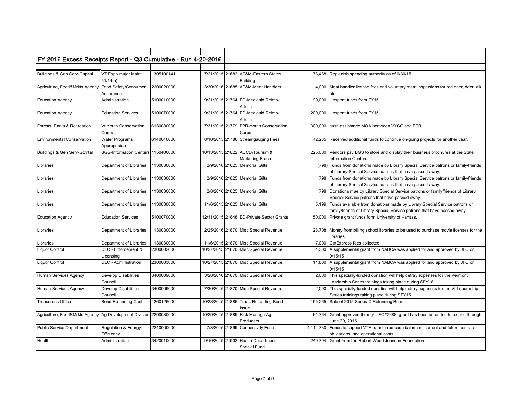| FY 2016 Excess Receipts Report - Q3 Cumulative - Run 4-20-2016      |                                    |            |  |                                           |           |                                                                                      |
|---------------------------------------------------------------------|------------------------------------|------------|--|-------------------------------------------|-----------|--------------------------------------------------------------------------------------|
|                                                                     |                                    |            |  |                                           |           |                                                                                      |
|                                                                     |                                    |            |  |                                           |           |                                                                                      |
| Buildings & Gen Serv-Capital                                        | VT Expo major Maint                | 1305100141 |  | 7/21/2015 21682 AF&M-Eastern States       | 78,488    | Replenish spending authority as of 6/30/15                                           |
|                                                                     | 51/14(a)                           |            |  | <b>Building</b>                           |           |                                                                                      |
| Agriculture, Food&Mrkts Agency                                      | Food Safety/Consumer               | 2200020000 |  | 3/30/2016 21685 AF&M-Meat Handlers        | 4,000     | Meat handler license fees and voluntary meat inspections for red deer, deer, elk,    |
|                                                                     | Assurance                          |            |  |                                           |           | etc                                                                                  |
| <b>Education Agency</b>                                             | Administration                     | 5100010000 |  | 9/21/2015 21764 ED-Medicaid Reimb-        | 90,000    | Unspent funds from FY15                                                              |
|                                                                     |                                    |            |  | Admin                                     |           |                                                                                      |
| <b>Education Agency</b>                                             | <b>Education Services</b>          | 5100070000 |  | 9/21/2015 21764 ED-Medicaid Reimb-        | 200,000   | Unspent funds from FY15                                                              |
|                                                                     |                                    |            |  | Admin                                     |           |                                                                                      |
| Forests, Parks & Recreation                                         | Vt Youth Conservation              | 6130080000 |  | 7/31/2015 21779 FPR-Youth Conservation    | 300,000   | cash assistance MOA bertween VYCC and FPR                                            |
|                                                                     | Corps                              |            |  | Corps                                     |           |                                                                                      |
| <b>Environmental Conservation</b>                                   | <b>Water Programs</b>              | 6140040000 |  | 8/10/2015 21786 Streamgauging Fees        | 42,235    | Received additional funds to continue on-going projects for another year.            |
|                                                                     | Appropriaion                       |            |  |                                           |           |                                                                                      |
| Buildings & Gen Serv-Gov'tal                                        | BGS-Information Centers 1150400000 |            |  | 10/13/2015 21822 ACCD\Tourism &           | 225,000   | Vendors pay BGS to store and display their business brochures at the State           |
|                                                                     |                                    |            |  | Marketing Broch                           |           | Information Centers.                                                                 |
| Libraries                                                           | Department of Libraries            | 1130030000 |  | 2/9/2016 21825 Memorial Gifts             |           | (798) Funds from donations made by Library Special Service patrons or family/friends |
|                                                                     |                                    |            |  |                                           |           | of Library Special Service patrons that have passed away.                            |
| .ibraries                                                           | Department of Libraries            | 1130030000 |  | 2/9/2016 21825 Memorial Gifts             | 798       | Funds from donations made by Library Special Service patrons or family/friends       |
|                                                                     |                                    |            |  |                                           |           | of Library Special Service patrons that have passed away.                            |
| Libraries                                                           | Department of Libraries            | 1130030000 |  | 2/8/2016 21825 Memorial Gifts             | 798       | Donations mae by Library Special Service patrons or family/friends of Library        |
|                                                                     |                                    |            |  |                                           |           | Special Service patrons that have passed away.                                       |
| Libraries                                                           | Department of Libraries            | 1130030000 |  | 11/6/2015 21825 Memorial Gifts            | 5,199     | Funds available from donations made by Library Special Service patrons or            |
|                                                                     |                                    |            |  |                                           |           | family/friends of Library Special Service patrons that have passed away.             |
| <b>Education Agency</b>                                             | <b>Education Services</b>          | 5100070000 |  | 12/11/2015 21848 ED-Private Sector Grants | 150,000   | Private grant funds form University of Kansas.                                       |
|                                                                     |                                    |            |  |                                           |           |                                                                                      |
| Libraries                                                           | Department of Libraries            | 1130030000 |  | 2/25/2016 21870 Misc Special Revenue      | 28,708    | Money from billing school libraries to be used to purchase movie licenses for the    |
|                                                                     |                                    |            |  |                                           |           | libraries.                                                                           |
| <i>Libraries</i>                                                    | Department of Libraries            | 1130030000 |  | 11/6/2015 21870 Misc Special Revenue      | 7,000     | CatExpress fees collected                                                            |
| Liquor Control                                                      | DLC - Enforcement &                | 2300002000 |  | 10/27/2015 21870 Misc Special Revenue     | 4,300     | A supplemental grant from NABCA was applied for and approved by JFO on               |
|                                                                     | Licensing                          |            |  |                                           |           | 9/15/15                                                                              |
| <b>Liquor Control</b>                                               | DLC - Administration               | 2300003000 |  | 10/27/2015 21870 Misc Special Revenue     | 14,800    | A supplemental grant from NABCA was applied for and approved by JFO on               |
|                                                                     |                                    |            |  |                                           |           | 9/15/15                                                                              |
| Human Services Agency                                               | <b>Develop Disabilities</b>        | 3400009000 |  | 3/28/2016 21870 Misc Special Revenue      | 2,000     | This specially-funded donation will help defray expenses for the Vermont             |
|                                                                     | Council                            |            |  |                                           |           | Leadership Series trainings taking place during SFY16.                               |
| Human Services Agency                                               | <b>Develop Disabilities</b>        | 3400009000 |  | 7/30/2015 21870 Misc Special Revenue      | 2,000     | This specially-funded donation will help defray expenses for the Vt Leadership       |
|                                                                     | Council                            |            |  |                                           |           | Series trainings taking place during SFY15.                                          |
| Treasurer's Office                                                  | <b>Bond Refunding Cost</b>         | 1260126000 |  | 10/28/2015 21886 Treas-Refunding Bond     | 155,265   | Sale of 2015 Series C Refunding Bonds                                                |
|                                                                     |                                    |            |  | Issue                                     |           |                                                                                      |
| Agriculture, Food&Mrkts Agency   Ag Development Division 2200030000 |                                    |            |  | 10/29/2015 21889 Risk Manage Ag           | 61.764    | Grant approved through JFO#2688; grant has been amended to extend through            |
|                                                                     |                                    |            |  | Producers                                 |           |                                                                                      |
|                                                                     |                                    | 2240000000 |  |                                           |           | June 30, 2016                                                                        |
| <b>Public Service Department</b>                                    | <b>Regulation &amp; Energy</b>     |            |  | 7/8/2015 21899 Connectivity Fund          | 4,114,730 | Funds to support VTA transferred cash balances, current and future contract          |
|                                                                     | Efficiency                         |            |  |                                           |           | obligations, and operational costs.                                                  |
| Health                                                              | Administration                     | 3420010000 |  | 9/10/2015 21902 Health Department-        | 240,794   | Grant from the Robert Wood Johnson Foundation                                        |
|                                                                     |                                    |            |  | Special Fund                              |           |                                                                                      |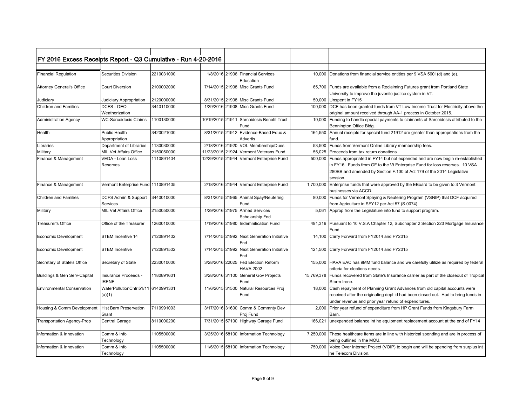| FY 2016 Excess Receipts Report - Q3 Cumulative - Run 4-20-2016 |                                               |            |  |                                                         |            |                                                                                                                                                                                                                                                 |
|----------------------------------------------------------------|-----------------------------------------------|------------|--|---------------------------------------------------------|------------|-------------------------------------------------------------------------------------------------------------------------------------------------------------------------------------------------------------------------------------------------|
|                                                                |                                               |            |  |                                                         |            |                                                                                                                                                                                                                                                 |
| <b>Financial Regulation</b>                                    | Securities Division                           | 2210031000 |  | 1/8/2016 21906 Financial Services<br>Education          | 10,000     | Donations from financial service entities per 9 VSA 5601(d) and (e).                                                                                                                                                                            |
| <b>Attorney General's Office</b>                               | <b>Court Diversion</b>                        | 2100002000 |  | 7/14/2015 21908 Misc Grants Fund                        | 65,700     | Funds are available from a Reclaiming Futures grant from Portland State<br>University to improve the juvenile justice system in VT.                                                                                                             |
| Judiciary                                                      | Judiciary Appropriation                       | 2120000000 |  | 8/31/2015 21908 Misc Grants Fund                        | 50,000     | Unspent in FY15                                                                                                                                                                                                                                 |
| <b>Children and Families</b>                                   | DCFS - OEO<br>Weatherization                  | 3440110000 |  | 1/29/2016 21908 Misc Grants Fund                        | 100,000    | DCF has been granted funds from VT Low Income Trust for Electricity above the<br>original amount received through AA-1 process in October 2015.                                                                                                 |
| <b>Administration Agency</b>                                   | <b>WC-Sarcoidosis Claims</b>                  | 1100130000 |  | 10/19/2015 21911 Sarcoidosis Benefit Trust<br>Fund      | 10,000     | Funding to handle special payments to claimants of Sarcoidosis attributed to the<br>Bennington Office Bldg.                                                                                                                                     |
| Health                                                         | Public Health<br>Appropriation                | 3420021000 |  | 8/31/2015 21912 Evidence-Based Educ &<br>Advertis       | 164.550    | Annual receipts for special fund 21912 are greater than appropriations from the<br>fund.                                                                                                                                                        |
| .ibraries                                                      | Department of Libraries                       | 1130030000 |  | 2/18/2016 21920 VOL Membership/Dues                     | 53,500     | Funds from Vermont Online Library membership fees.                                                                                                                                                                                              |
| Military                                                       | MIL Vet Affairs Office                        | 2150050000 |  | 11/23/2015 21924 Vermont Veterans Fund                  | 55,025     | Proceeds from tax return donations                                                                                                                                                                                                              |
| Finance & Management                                           | VEDA - Loan Loss<br>Reserves                  | 1110891404 |  | 12/29/2015 21944 Vermont Enterprise Fund                | 500,000    | Funds appropriated in FY14 but not expended and are now begin re-established<br>in FY16. Funds from GF to the Vt Enterprise Fund for loss reserves. 10 VSA<br>280BB and amended by Section F.100 of Act 179 of the 2014 Legislative<br>session. |
| Finance & Management                                           | Vermont Enterprise Fund 1110891405            |            |  | 2/18/2016 21944 Vermont Enterprise Fund                 | 1,700,000  | Enterprise funds that were approved by the EBoard to be given to 3 Vermont<br>businesses via ACCD.                                                                                                                                              |
| <b>Children and Families</b>                                   | DCFS Admin & Support<br>Services              | 3440010000 |  | 8/31/2015 21965 Animal Spay/Neutering<br>Fund           | 80,000     | Funds for Vermont Spaying & Neutering Program (VSNIP) that DCF acquired<br>from Agriculture in SFY12 per Act 57 (S.0074).                                                                                                                       |
| Military                                                       | MIL Vet Affairs Office                        | 2150050000 |  | 1/29/2016 21975 Armed Services<br>Scholarship Fnd       | 5.061      | Approp from the Legislature into fund to support program.                                                                                                                                                                                       |
| Treasurer's Office                                             | Office of the Treasurer                       | 1260010000 |  | 1/19/2016 21980 Indemnification Fund                    | 491,316    | Pursuant to 10 V.S.A Chapter 12, Subchapter 2 Section 223 Mortgage Insurance<br>Fund                                                                                                                                                            |
| <b>Economic Development</b>                                    | <b>STEM Incentive 14</b>                      | 7120891402 |  | 7/14/2015 21992 Next Generation Initiative<br>Fnd       | 14,100     | Carry Forward from FY2014 and FY2015                                                                                                                                                                                                            |
| <b>Economic Development</b>                                    | <b>STEM Incentive</b>                         | 7120891502 |  | 7/14/2015 21992 Next Generation Initiative<br>Fnd       | 121,500    | Carry Forward from FY2014 and FY2015                                                                                                                                                                                                            |
| Secretary of State's Office                                    | Secretary of State                            | 2230010000 |  | 3/28/2016 22025 Fed Election Reform<br><b>HAVA 2002</b> | 155,000    | HAVA EAC has 9MM fund balance and we carefully utilize as required by federal<br>criteria for elections needs.                                                                                                                                  |
| Buildings & Gen Serv-Capital                                   | Insurance Proceeds -<br><b>IRENE</b>          | 1180891601 |  | 3/28/2016 31100 General Gov Projects<br>Fund            | 15,769,378 | Funds recovered from State's Insurance carrier as part of the closeout of Tropical<br>Storm Irene.                                                                                                                                              |
| <b>Environmental Conservation</b>                              | WaterPollutionCntrl51/11 6140991301<br>(a)(1) |            |  | 11/6/2015 31500 Natural Resources Proj<br>Fund          | 18,000     | Cash repayment of Planning Grant Advances from old capital accounts were<br>received after the originating dept id had been closed out. Had to bring funds in<br>under revenue and prior year refund of expenditures.                           |
| Housing & Comm Development                                     | <b>Hist Barn Preservation</b><br>Grant        | 7110991003 |  | 3/17/2016 31600 Comm & Commnty Dev<br>Proj Fund         | 2,000      | Prior year refund of expenditure from HP Grant Funds from Kingsbury Farm<br>Barn.                                                                                                                                                               |
| <b>Transportation Agency-Prop</b>                              | Central Garage                                | 8110000200 |  | 7/31/2015 57100 Highway Garage Fund                     | 166.021    | unexpended balance int he equipment replacement account at the end of FY14                                                                                                                                                                      |
| Information & Innovation                                       | Comm & Info<br>Technology                     | 1105500000 |  | 3/25/2016 58100 Information Technology                  | 7,250,000  | These healthcare items are in line with historical spending and are in process of<br>being outlined in the MOU.                                                                                                                                 |
| Information & Innovation                                       | Comm & Info<br>Technology                     | 1105500000 |  | 11/6/2015 58100 Information Technology                  | 750,000    | Voice Over Internet Project (VOIP) to begin and will be spending from surplus int<br>he Telecom Division.                                                                                                                                       |